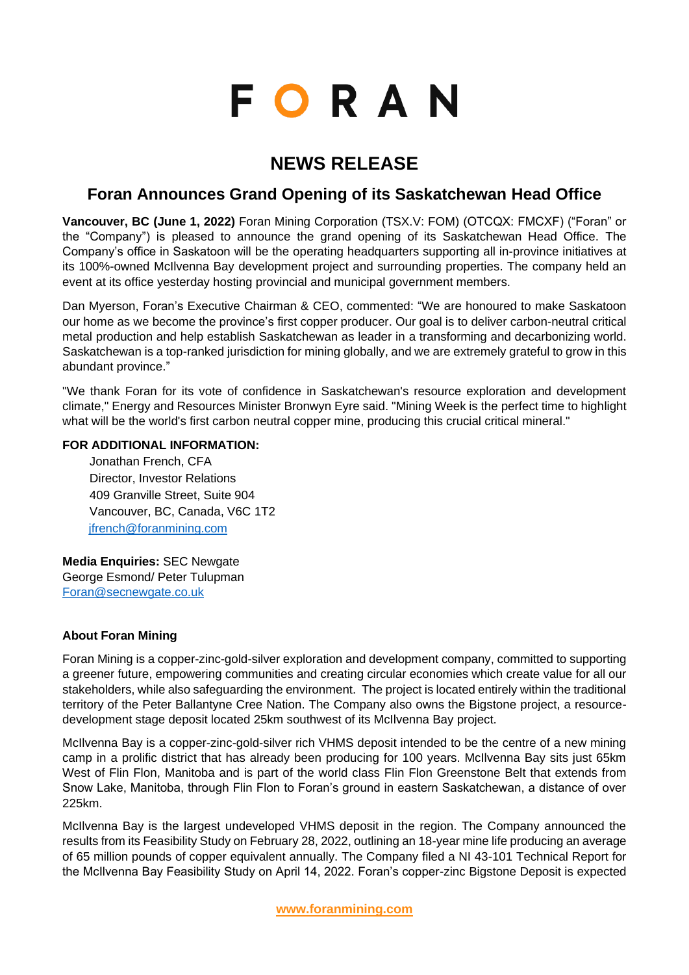# **FORAN**

## **NEWS RELEASE**

### **Foran Announces Grand Opening of its Saskatchewan Head Office**

**Vancouver, BC (June 1, 2022)** Foran Mining Corporation (TSX.V: FOM) (OTCQX: FMCXF) ("Foran" or the "Company") is pleased to announce the grand opening of its Saskatchewan Head Office. The Company's office in Saskatoon will be the operating headquarters supporting all in-province initiatives at its 100%-owned McIlvenna Bay development project and surrounding properties. The company held an event at its office yesterday hosting provincial and municipal government members.

Dan Myerson, Foran's Executive Chairman & CEO, commented: "We are honoured to make Saskatoon our home as we become the province's first copper producer. Our goal is to deliver carbon-neutral critical metal production and help establish Saskatchewan as leader in a transforming and decarbonizing world. Saskatchewan is a top-ranked jurisdiction for mining globally, and we are extremely grateful to grow in this abundant province."

"We thank Foran for its vote of confidence in Saskatchewan's resource exploration and development climate," Energy and Resources Minister Bronwyn Eyre said. "Mining Week is the perfect time to highlight what will be the world's first carbon neutral copper mine, producing this crucial critical mineral."

#### **FOR ADDITIONAL INFORMATION:**

Jonathan French, CFA Director, Investor Relations 409 Granville Street, Suite 904 Vancouver, BC, Canada, V6C 1T2 [jfrench@foranmining.com](mailto:jfrench@foranmining.com)

Media **Media Enquiries:** SEC Newgate George Esmond/ Peter Tulupman [Foran@secnewgate.co.uk](mailto:Foran@secnewgate.co.uk)

#### **About Foran Mining**

Foran Mining is a copper-zinc-gold-silver exploration and development company, committed to supporting a greener future, empowering communities and creating circular economies which create value for all our stakeholders, while also safeguarding the environment. The project is located entirely within the traditional territory of the Peter Ballantyne Cree Nation. The Company also owns the Bigstone project, a resourcedevelopment stage deposit located 25km southwest of its McIlvenna Bay project.

McIlvenna Bay is a copper-zinc-gold-silver rich VHMS deposit intended to be the centre of a new mining camp in a prolific district that has already been producing for 100 years. McIlvenna Bay sits just 65km West of Flin Flon, Manitoba and is part of the world class Flin Flon Greenstone Belt that extends from Snow Lake, Manitoba, through Flin Flon to Foran's ground in eastern Saskatchewan, a distance of over 225km.

McIlvenna Bay is the largest undeveloped VHMS deposit in the region. The Company announced the results from its Feasibility Study on February 28, 2022, outlining an 18-year mine life producing an average of 65 million pounds of copper equivalent annually. The Company filed a NI 43-101 Technical Report for the McIlvenna Bay Feasibility Study on April 14, 2022. Foran's copper-zinc Bigstone Deposit is expected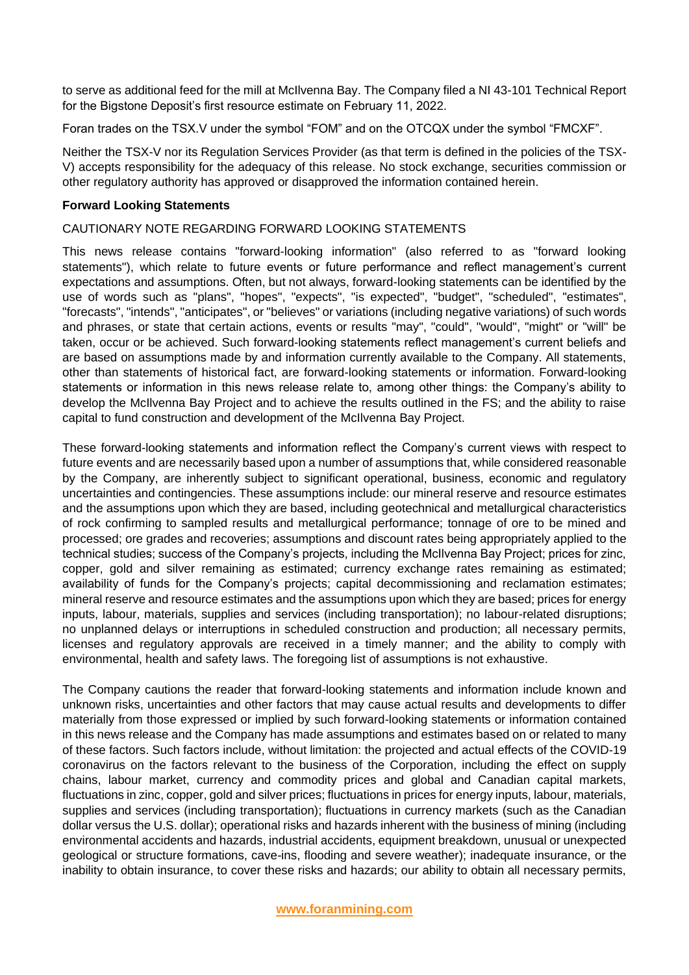to serve as additional feed for the mill at McIlvenna Bay. The Company filed a NI 43-101 Technical Report for the Bigstone Deposit's first resource estimate on February 11, 2022.

Foran trades on the TSX.V under the symbol "FOM" and on the OTCQX under the symbol "FMCXF".

Neither the TSX-V nor its Regulation Services Provider (as that term is defined in the policies of the TSX-V) accepts responsibility for the adequacy of this release. No stock exchange, securities commission or other regulatory authority has approved or disapproved the information contained herein.

#### **Forward Looking Statements**

#### CAUTIONARY NOTE REGARDING FORWARD LOOKING STATEMENTS

This news release contains "forward-looking information" (also referred to as "forward looking statements"), which relate to future events or future performance and reflect management's current expectations and assumptions. Often, but not always, forward-looking statements can be identified by the use of words such as "plans", "hopes", "expects", "is expected", "budget", "scheduled", "estimates", "forecasts", "intends", "anticipates", or "believes" or variations (including negative variations) of such words and phrases, or state that certain actions, events or results "may", "could", "would", "might" or "will" be taken, occur or be achieved. Such forward-looking statements reflect management's current beliefs and are based on assumptions made by and information currently available to the Company. All statements, other than statements of historical fact, are forward-looking statements or information. Forward-looking statements or information in this news release relate to, among other things: the Company's ability to develop the McIlvenna Bay Project and to achieve the results outlined in the FS; and the ability to raise capital to fund construction and development of the McIlvenna Bay Project.

These forward-looking statements and information reflect the Company's current views with respect to future events and are necessarily based upon a number of assumptions that, while considered reasonable by the Company, are inherently subject to significant operational, business, economic and regulatory uncertainties and contingencies. These assumptions include: our mineral reserve and resource estimates and the assumptions upon which they are based, including geotechnical and metallurgical characteristics of rock confirming to sampled results and metallurgical performance; tonnage of ore to be mined and processed; ore grades and recoveries; assumptions and discount rates being appropriately applied to the technical studies; success of the Company's projects, including the McIlvenna Bay Project; prices for zinc, copper, gold and silver remaining as estimated; currency exchange rates remaining as estimated; availability of funds for the Company's projects; capital decommissioning and reclamation estimates; mineral reserve and resource estimates and the assumptions upon which they are based; prices for energy inputs, labour, materials, supplies and services (including transportation); no labour-related disruptions; no unplanned delays or interruptions in scheduled construction and production; all necessary permits, licenses and regulatory approvals are received in a timely manner; and the ability to comply with environmental, health and safety laws. The foregoing list of assumptions is not exhaustive.

The Company cautions the reader that forward-looking statements and information include known and unknown risks, uncertainties and other factors that may cause actual results and developments to differ materially from those expressed or implied by such forward-looking statements or information contained in this news release and the Company has made assumptions and estimates based on or related to many of these factors. Such factors include, without limitation: the projected and actual effects of the COVID-19 coronavirus on the factors relevant to the business of the Corporation, including the effect on supply chains, labour market, currency and commodity prices and global and Canadian capital markets, fluctuations in zinc, copper, gold and silver prices; fluctuations in prices for energy inputs, labour, materials, supplies and services (including transportation); fluctuations in currency markets (such as the Canadian dollar versus the U.S. dollar); operational risks and hazards inherent with the business of mining (including environmental accidents and hazards, industrial accidents, equipment breakdown, unusual or unexpected geological or structure formations, cave-ins, flooding and severe weather); inadequate insurance, or the inability to obtain insurance, to cover these risks and hazards; our ability to obtain all necessary permits,